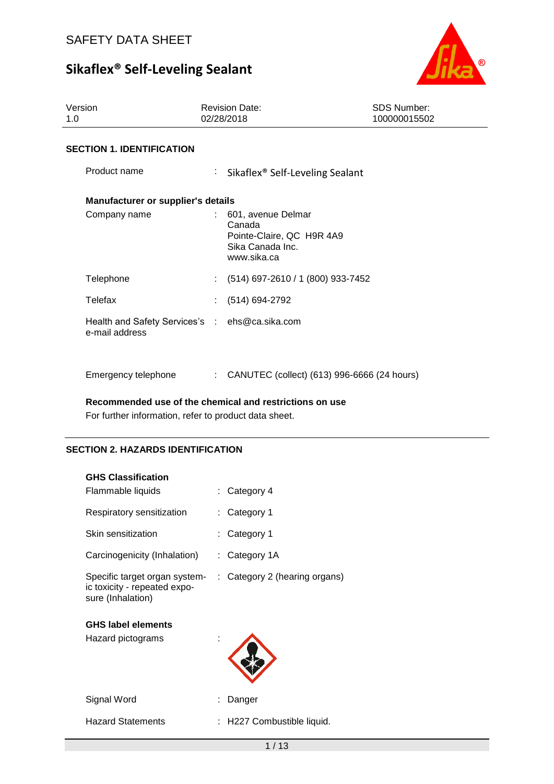

| Version<br>1.0                                                   | <b>Revision Date:</b><br>02/28/2018 |                                                                     | <b>SDS Number:</b><br>100000015502 |
|------------------------------------------------------------------|-------------------------------------|---------------------------------------------------------------------|------------------------------------|
| <b>SECTION 1. IDENTIFICATION</b>                                 |                                     |                                                                     |                                    |
| Product name                                                     | t.                                  | Sikaflex <sup>®</sup> Self-Leveling Sealant                         |                                    |
| Manufacturer or supplier's details                               |                                     |                                                                     |                                    |
| Company name                                                     | Canada<br>www.sika.ca               | 601, avenue Delmar<br>Pointe-Claire, QC H9R 4A9<br>Sika Canada Inc. |                                    |
| Telephone                                                        |                                     | $(514)$ 697-2610 / 1 (800) 933-7452                                 |                                    |
| Telefax                                                          |                                     | (514) 694-2792                                                      |                                    |
| Health and Safety Services's : ehs@ca.sika.com<br>e-mail address |                                     |                                                                     |                                    |
| Emergency telephone                                              | t.                                  | CANUTEC (collect) (613) 996-6666 (24 hours)                         |                                    |

**Recommended use of the chemical and restrictions on use**

For further information, refer to product data sheet.

## **SECTION 2. HAZARDS IDENTIFICATION**

| <b>GHS Classification</b>                                                          |                               |
|------------------------------------------------------------------------------------|-------------------------------|
| Flammable liquids                                                                  | Category 4                    |
| Respiratory sensitization                                                          | Category 1                    |
| Skin sensitization                                                                 | Category 1                    |
| Carcinogenicity (Inhalation)                                                       | : Category 1A                 |
| Specific target organ system-<br>ic toxicity - repeated expo-<br>sure (Inhalation) | : Category 2 (hearing organs) |
| <b>GHS label elements</b>                                                          |                               |
| Hazard pictograms                                                                  |                               |
| Signal Word                                                                        | Danger                        |
| <b>Hazard Statements</b>                                                           | H227 Combustible liquid.      |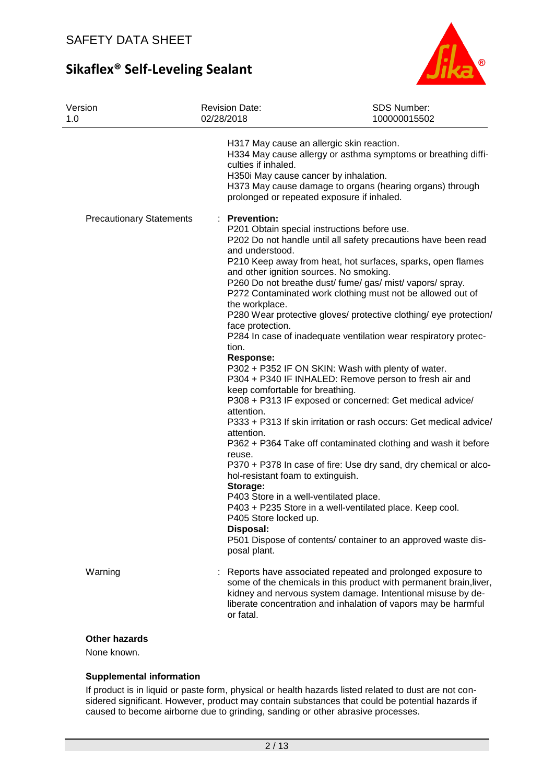

| Version<br>1.0                  | <b>Revision Date:</b><br>02/28/2018                                                                                                                                                                                                                                                                                           | SDS Number:<br>100000015502                                                                                                                                                                                                                                                                                                                                                                                                                                                                                                                                                                                                                                                                                                                                                                                                                                                                                                                                                                                     |
|---------------------------------|-------------------------------------------------------------------------------------------------------------------------------------------------------------------------------------------------------------------------------------------------------------------------------------------------------------------------------|-----------------------------------------------------------------------------------------------------------------------------------------------------------------------------------------------------------------------------------------------------------------------------------------------------------------------------------------------------------------------------------------------------------------------------------------------------------------------------------------------------------------------------------------------------------------------------------------------------------------------------------------------------------------------------------------------------------------------------------------------------------------------------------------------------------------------------------------------------------------------------------------------------------------------------------------------------------------------------------------------------------------|
|                                 | culties if inhaled.<br>H350i May cause cancer by inhalation.                                                                                                                                                                                                                                                                  | H317 May cause an allergic skin reaction.<br>H334 May cause allergy or asthma symptoms or breathing diffi-<br>H373 May cause damage to organs (hearing organs) through<br>prolonged or repeated exposure if inhaled.                                                                                                                                                                                                                                                                                                                                                                                                                                                                                                                                                                                                                                                                                                                                                                                            |
| <b>Precautionary Statements</b> | : Prevention:<br>and understood.<br>the workplace.<br>face protection.<br>tion.<br><b>Response:</b><br>keep comfortable for breathing.<br>attention.<br>attention.<br>reuse.<br>hol-resistant foam to extinguish.<br>Storage:<br>P403 Store in a well-ventilated place.<br>P405 Store locked up.<br>Disposal:<br>posal plant. | P201 Obtain special instructions before use.<br>P202 Do not handle until all safety precautions have been read<br>P210 Keep away from heat, hot surfaces, sparks, open flames<br>and other ignition sources. No smoking.<br>P260 Do not breathe dust/ fume/ gas/ mist/ vapors/ spray.<br>P272 Contaminated work clothing must not be allowed out of<br>P280 Wear protective gloves/ protective clothing/ eye protection/<br>P284 In case of inadequate ventilation wear respiratory protec-<br>P302 + P352 IF ON SKIN: Wash with plenty of water.<br>P304 + P340 IF INHALED: Remove person to fresh air and<br>P308 + P313 IF exposed or concerned: Get medical advice/<br>P333 + P313 If skin irritation or rash occurs: Get medical advice/<br>P362 + P364 Take off contaminated clothing and wash it before<br>P370 + P378 In case of fire: Use dry sand, dry chemical or alco-<br>P403 + P235 Store in a well-ventilated place. Keep cool.<br>P501 Dispose of contents/ container to an approved waste dis- |
| Warning                         | or fatal.                                                                                                                                                                                                                                                                                                                     | Reports have associated repeated and prolonged exposure to<br>some of the chemicals in this product with permanent brain, liver,<br>kidney and nervous system damage. Intentional misuse by de-<br>liberate concentration and inhalation of vapors may be harmful                                                                                                                                                                                                                                                                                                                                                                                                                                                                                                                                                                                                                                                                                                                                               |

## **Other hazards**

None known.

### **Supplemental information**

If product is in liquid or paste form, physical or health hazards listed related to dust are not considered significant. However, product may contain substances that could be potential hazards if caused to become airborne due to grinding, sanding or other abrasive processes.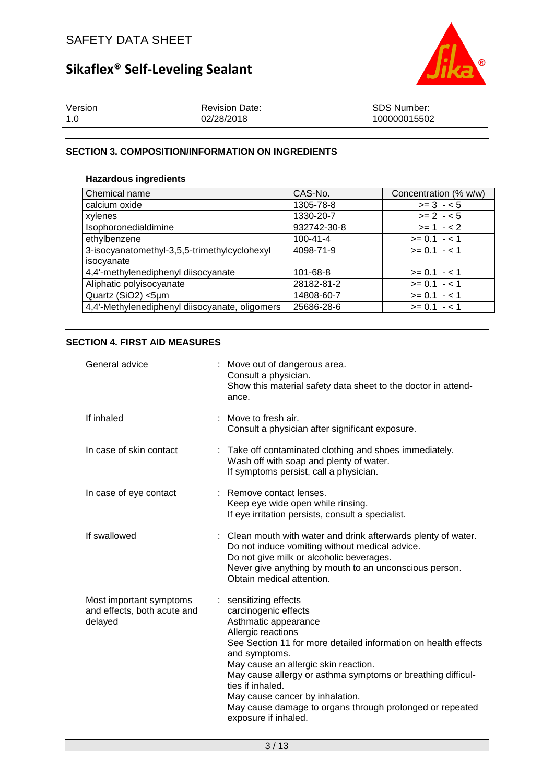

| Version | <b>Revision Date:</b> | SDS Number:  |
|---------|-----------------------|--------------|
| 1.0     | 02/28/2018            | 100000015502 |

## **SECTION 3. COMPOSITION/INFORMATION ON INGREDIENTS**

## **Hazardous ingredients**

| Chemical name                                  | CAS-No.        | Concentration (% w/w) |
|------------------------------------------------|----------------|-----------------------|
| calcium oxide                                  | 1305-78-8      | $>= 3 - 5$            |
| xylenes                                        | 1330-20-7      | $>= 2 - 5$            |
| Isophoronedialdimine                           | 932742-30-8    | $>= 1 - 2$            |
| ethylbenzene                                   | $100 - 41 - 4$ | $>= 0.1 - 1$          |
| 3-isocyanatomethyl-3,5,5-trimethylcyclohexyl   | 4098-71-9      | $>= 0.1 - 1.1$        |
| isocyanate                                     |                |                       |
| 4,4'-methylenediphenyl diisocyanate            | 101-68-8       | $>= 0.1 - 1.1$        |
| Aliphatic polyisocyanate                       | 28182-81-2     | $>= 0.1 - 1.1$        |
| Quartz (SiO2) <5µm                             | 14808-60-7     | $>= 0.1 - 1$          |
| 4,4'-Methylenediphenyl diisocyanate, oligomers | 25686-28-6     | $>= 0.1 - 1$          |

## **SECTION 4. FIRST AID MEASURES**

| General advice                                                    | : Move out of dangerous area.<br>Consult a physician.<br>Show this material safety data sheet to the doctor in attend-<br>ance.                                                                                                                                                                                                                                                                                                  |
|-------------------------------------------------------------------|----------------------------------------------------------------------------------------------------------------------------------------------------------------------------------------------------------------------------------------------------------------------------------------------------------------------------------------------------------------------------------------------------------------------------------|
| If inhaled                                                        | Move to fresh air.<br>Consult a physician after significant exposure.                                                                                                                                                                                                                                                                                                                                                            |
| In case of skin contact                                           | : Take off contaminated clothing and shoes immediately.<br>Wash off with soap and plenty of water.<br>If symptoms persist, call a physician.                                                                                                                                                                                                                                                                                     |
| In case of eye contact                                            | : Remove contact lenses.<br>Keep eye wide open while rinsing.<br>If eye irritation persists, consult a specialist.                                                                                                                                                                                                                                                                                                               |
| If swallowed                                                      | Clean mouth with water and drink afterwards plenty of water.<br>Do not induce vomiting without medical advice.<br>Do not give milk or alcoholic beverages.<br>Never give anything by mouth to an unconscious person.<br>Obtain medical attention.                                                                                                                                                                                |
| Most important symptoms<br>and effects, both acute and<br>delayed | : sensitizing effects<br>carcinogenic effects<br>Asthmatic appearance<br>Allergic reactions<br>See Section 11 for more detailed information on health effects<br>and symptoms.<br>May cause an allergic skin reaction.<br>May cause allergy or asthma symptoms or breathing difficul-<br>ties if inhaled.<br>May cause cancer by inhalation.<br>May cause damage to organs through prolonged or repeated<br>exposure if inhaled. |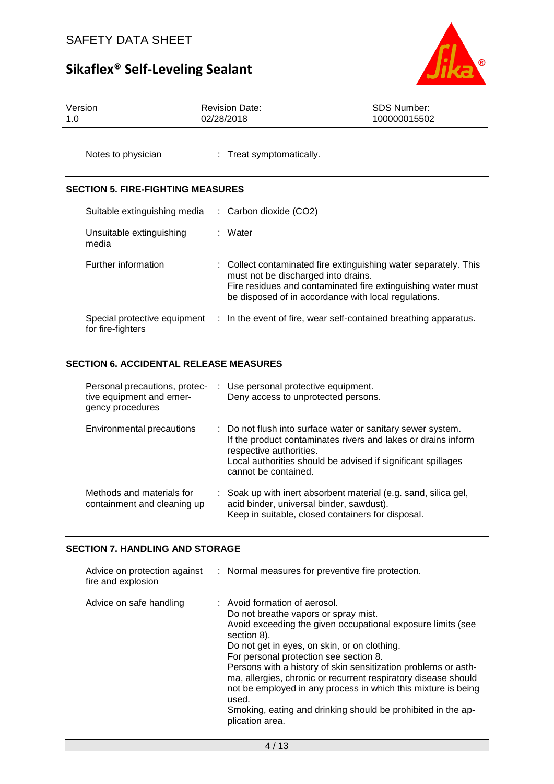

| Version | <b>Revision Date:</b> | SDS Number:  |
|---------|-----------------------|--------------|
| 1.0     | 02/28/2018            | 100000015502 |
|         |                       |              |

Notes to physician : Treat symptomatically.

## **SECTION 5. FIRE-FIGHTING MEASURES**

| Suitable extinguishing media                      | $\therefore$ Carbon dioxide (CO2)                                                                                                                                                                                               |
|---------------------------------------------------|---------------------------------------------------------------------------------------------------------------------------------------------------------------------------------------------------------------------------------|
| Unsuitable extinguishing<br>media                 | : Water                                                                                                                                                                                                                         |
| Further information                               | : Collect contaminated fire extinguishing water separately. This<br>must not be discharged into drains.<br>Fire residues and contaminated fire extinguishing water must<br>be disposed of in accordance with local regulations. |
| Special protective equipment<br>for fire-fighters | : In the event of fire, wear self-contained breathing apparatus.                                                                                                                                                                |

## **SECTION 6. ACCIDENTAL RELEASE MEASURES**

| Personal precautions, protec-<br>tive equipment and emer-<br>gency procedures | : Use personal protective equipment.<br>Deny access to unprotected persons.                                                                                                                                                                     |
|-------------------------------------------------------------------------------|-------------------------------------------------------------------------------------------------------------------------------------------------------------------------------------------------------------------------------------------------|
| Environmental precautions                                                     | : Do not flush into surface water or sanitary sewer system.<br>If the product contaminates rivers and lakes or drains inform<br>respective authorities.<br>Local authorities should be advised if significant spillages<br>cannot be contained. |
| Methods and materials for<br>containment and cleaning up                      | : Soak up with inert absorbent material (e.g. sand, silica gel,<br>acid binder, universal binder, sawdust).<br>Keep in suitable, closed containers for disposal.                                                                                |

#### **SECTION 7. HANDLING AND STORAGE**

| Advice on protection against<br>fire and explosion | : Normal measures for preventive fire protection.                                                                                                                                                                                                                                                                                                                                                                                                                                                                                              |
|----------------------------------------------------|------------------------------------------------------------------------------------------------------------------------------------------------------------------------------------------------------------------------------------------------------------------------------------------------------------------------------------------------------------------------------------------------------------------------------------------------------------------------------------------------------------------------------------------------|
| Advice on safe handling                            | : Avoid formation of aerosol.<br>Do not breathe vapors or spray mist.<br>Avoid exceeding the given occupational exposure limits (see<br>section 8).<br>Do not get in eyes, on skin, or on clothing.<br>For personal protection see section 8.<br>Persons with a history of skin sensitization problems or asth-<br>ma, allergies, chronic or recurrent respiratory disease should<br>not be employed in any process in which this mixture is being<br>used.<br>Smoking, eating and drinking should be prohibited in the ap-<br>plication area. |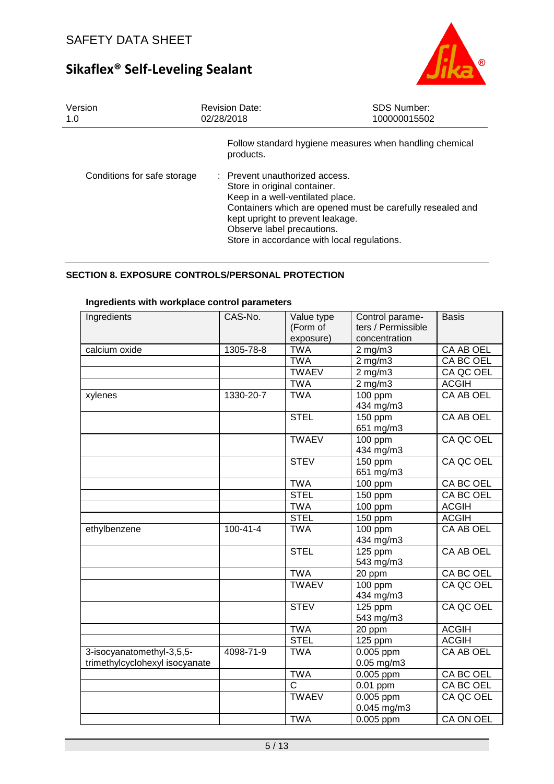

| Version<br>1.0              | <b>Revision Date:</b><br>02/28/2018                                                                                                                                                                                                                                               | <b>SDS Number:</b><br>100000015502 |
|-----------------------------|-----------------------------------------------------------------------------------------------------------------------------------------------------------------------------------------------------------------------------------------------------------------------------------|------------------------------------|
|                             | Follow standard hygiene measures when handling chemical<br>products.                                                                                                                                                                                                              |                                    |
| Conditions for safe storage | : Prevent unauthorized access.<br>Store in original container.<br>Keep in a well-ventilated place.<br>Containers which are opened must be carefully resealed and<br>kept upright to prevent leakage.<br>Observe label precautions.<br>Store in accordance with local regulations. |                                    |

## **SECTION 8. EXPOSURE CONTROLS/PERSONAL PROTECTION**

| <u>IIIgredictius With Workplace control parameters</u><br>Ingredients | CAS-No.        | Value type            | Control parame-       | <b>Basis</b>     |
|-----------------------------------------------------------------------|----------------|-----------------------|-----------------------|------------------|
|                                                                       |                | (Form of              | ters / Permissible    |                  |
|                                                                       |                | exposure)             | concentration         |                  |
| calcium oxide                                                         | 1305-78-8      | <b>TWA</b>            | $2$ mg/m $3$          | CA AB OEL        |
|                                                                       |                | <b>TWA</b>            | 2 mg/m $\overline{3}$ | CA BC OEL        |
|                                                                       |                | <b>TWAEV</b>          | $2$ mg/m $3$          | CA QC OEL        |
|                                                                       |                | <b>TWA</b>            | $2$ mg/m $3$          | <b>ACGIH</b>     |
| xylenes                                                               | 1330-20-7      | <b>TWA</b>            | 100 ppm               | CA AB OEL        |
|                                                                       |                |                       | 434 mg/m3             |                  |
|                                                                       |                | <b>STEL</b>           | 150 ppm               | CA AB OEL        |
|                                                                       |                |                       | 651 mg/m3             |                  |
|                                                                       |                | <b>TWAEV</b>          | 100 ppm               | CA QC OEL        |
|                                                                       |                |                       | 434 mg/m3             |                  |
|                                                                       |                | <b>STEV</b>           | 150 ppm               | CA QC OEL        |
|                                                                       |                |                       | 651 mg/m3             |                  |
|                                                                       |                | <b>TWA</b>            | 100 ppm               | CA BC OEL        |
|                                                                       |                | <b>STEL</b>           | 150 ppm               | CA BC OEL        |
|                                                                       |                | <b>TWA</b>            | 100 ppm               | <b>ACGIH</b>     |
|                                                                       |                | <b>STEL</b>           | 150 ppm               | <b>ACGIH</b>     |
| ethylbenzene                                                          | $100 - 41 - 4$ | <b>TWA</b>            | 100 ppm               | CA AB OEL        |
|                                                                       |                |                       | 434 mg/m3             |                  |
|                                                                       |                | <b>STEL</b>           | 125 ppm               | CA AB OEL        |
|                                                                       |                |                       | 543 mg/m3             |                  |
|                                                                       |                | <b>TWA</b>            | 20 ppm                | <b>CA BC OEL</b> |
|                                                                       |                | <b>TWAEV</b>          | $100$ ppm             | CA QC OEL        |
|                                                                       |                |                       | 434 mg/m3             |                  |
|                                                                       |                | <b>STEV</b>           | 125 ppm               | CA QC OEL        |
|                                                                       |                |                       | 543 mg/m3             |                  |
|                                                                       |                | <b>TWA</b>            | 20 ppm                | <b>ACGIH</b>     |
|                                                                       |                | <b>STEL</b>           | $\overline{1}$ 25 ppm | <b>ACGIH</b>     |
| 3-isocyanatomethyl-3,5,5-                                             | 4098-71-9      | <b>TWA</b>            | 0.005 ppm             | CA AB OEL        |
| trimethylcyclohexyl isocyanate                                        |                |                       | $0.05$ mg/m $3$       |                  |
|                                                                       |                | <b>TWA</b>            | 0.005 ppm             | <b>CA BC OEL</b> |
|                                                                       |                | $\overline{\text{c}}$ | $0.01$ ppm            | CA BC OEL        |
|                                                                       |                | <b>TWAEV</b>          | 0.005 ppm             | CA QC OEL        |
|                                                                       |                |                       | 0.045 mg/m3           |                  |
|                                                                       |                | <b>TWA</b>            | $0.005$ ppm           | <b>CA ON OEL</b> |

## **Ingredients with workplace control parameters**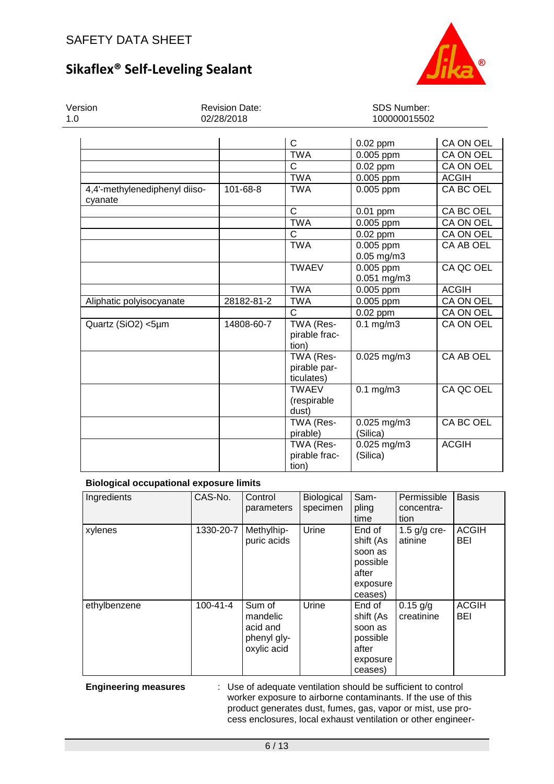

| Version<br>1.0                           | <b>Revision Date:</b><br>02/28/2018 | SDS Number:<br>100000015502             |                              |              |  |
|------------------------------------------|-------------------------------------|-----------------------------------------|------------------------------|--------------|--|
|                                          |                                     | C                                       |                              | CA ON OEL    |  |
|                                          |                                     | <b>TWA</b>                              | $0.02$ ppm                   |              |  |
|                                          |                                     |                                         | 0.005 ppm                    | CA ON OEL    |  |
|                                          |                                     | С                                       | $0.02$ ppm                   | CA ON OEL    |  |
|                                          |                                     | <b>TWA</b>                              | 0.005 ppm                    | <b>ACGIH</b> |  |
| 4,4'-methylenediphenyl diiso-<br>cyanate | 101-68-8                            | <b>TWA</b>                              | 0.005 ppm                    | CA BC OEL    |  |
|                                          |                                     | C                                       | $0.01$ ppm                   | CA BC OEL    |  |
|                                          |                                     | <b>TWA</b>                              | 0.005 ppm                    | CA ON OEL    |  |
|                                          |                                     | $\mathsf{C}$                            | $0.02$ ppm                   | CA ON OEL    |  |
|                                          |                                     | <b>TWA</b>                              | 0.005 ppm<br>$0.05$ mg/m $3$ | CA AB OEL    |  |
|                                          |                                     | <b>TWAEV</b>                            | 0.005 ppm<br>0.051 mg/m3     | CA QC OEL    |  |
|                                          |                                     | <b>TWA</b>                              | 0.005 ppm                    | <b>ACGIH</b> |  |
| Aliphatic polyisocyanate                 | 28182-81-2                          | <b>TWA</b>                              | 0.005 ppm                    | CA ON OEL    |  |
|                                          |                                     | $\mathsf{C}$                            | $0.02$ ppm                   | CA ON OEL    |  |
| Quartz (SiO2) <5µm                       | 14808-60-7                          | TWA (Res-<br>pirable frac-<br>tion)     | $0.1$ mg/m $3$               | CA ON OEL    |  |
|                                          |                                     | TWA (Res-<br>pirable par-<br>ticulates) | $0.025$ mg/m $3$             | CA AB OEL    |  |
|                                          |                                     | <b>TWAEV</b><br>(respirable<br>dust)    | $0.1$ mg/m $3$               | CA QC OEL    |  |
|                                          |                                     | TWA (Res-<br>pirable)                   | 0.025 mg/m3<br>(Silica)      | CA BC OEL    |  |
|                                          |                                     | TWA (Res-<br>pirable frac-<br>tion)     | 0.025 mg/m3<br>(Silica)      | <b>ACGIH</b> |  |

### **Biological occupational exposure limits**

| Ingredients  | CAS-No.        | Control<br>parameters                                        | <b>Biological</b><br>specimen | Sam-<br>pling<br>time                                                      | Permissible<br>concentra-<br>tion | <b>Basis</b>        |
|--------------|----------------|--------------------------------------------------------------|-------------------------------|----------------------------------------------------------------------------|-----------------------------------|---------------------|
| xylenes      | 1330-20-7      | Methylhip-<br>puric acids                                    | Urine                         | End of<br>shift (As<br>soon as<br>possible<br>after<br>exposure<br>ceases) | 1.5 $g/g$ cre-<br>atinine         | <b>ACGIH</b><br>BEI |
| ethylbenzene | $100 - 41 - 4$ | Sum of<br>mandelic<br>acid and<br>phenyl gly-<br>oxylic acid | Urine                         | End of<br>shift (As<br>soon as<br>possible<br>after<br>exposure<br>ceases) | $0.15$ g/g<br>creatinine          | <b>ACGIH</b><br>BEI |

**Engineering measures** : Use of adequate ventilation should be sufficient to control worker exposure to airborne contaminants. If the use of this product generates dust, fumes, gas, vapor or mist, use process enclosures, local exhaust ventilation or other engineer-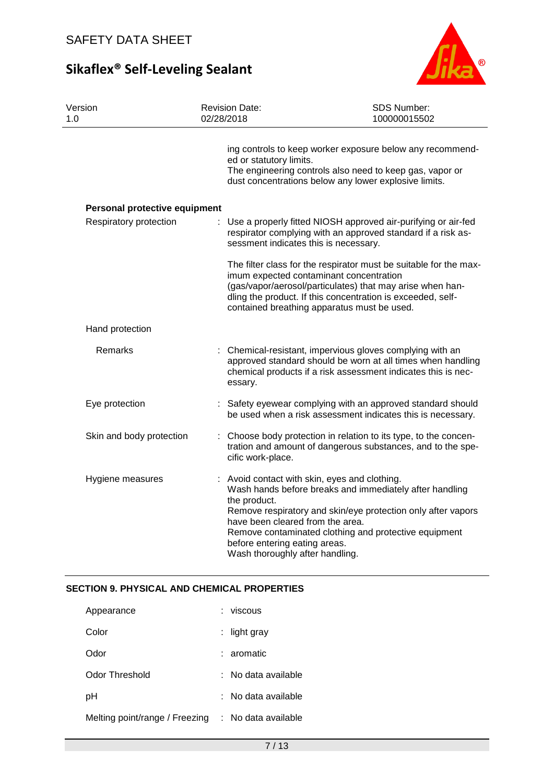

| Version<br>1. $\Omega$        | <b>Revision Date:</b><br>02/28/2018                                                                                                                                   | SDS Number:<br>100000015502                                                                                                                                                                                                                                                             |
|-------------------------------|-----------------------------------------------------------------------------------------------------------------------------------------------------------------------|-----------------------------------------------------------------------------------------------------------------------------------------------------------------------------------------------------------------------------------------------------------------------------------------|
|                               | ed or statutory limits.                                                                                                                                               | ing controls to keep worker exposure below any recommend-<br>The engineering controls also need to keep gas, vapor or<br>dust concentrations below any lower explosive limits.                                                                                                          |
| Personal protective equipment |                                                                                                                                                                       |                                                                                                                                                                                                                                                                                         |
| Respiratory protection        | sessment indicates this is necessary.                                                                                                                                 | Use a properly fitted NIOSH approved air-purifying or air-fed<br>respirator complying with an approved standard if a risk as-                                                                                                                                                           |
|                               |                                                                                                                                                                       | The filter class for the respirator must be suitable for the max-<br>imum expected contaminant concentration<br>(gas/vapor/aerosol/particulates) that may arise when han-<br>dling the product. If this concentration is exceeded, self-<br>contained breathing apparatus must be used. |
| Hand protection               |                                                                                                                                                                       |                                                                                                                                                                                                                                                                                         |
| Remarks                       | essary.                                                                                                                                                               | : Chemical-resistant, impervious gloves complying with an<br>approved standard should be worn at all times when handling<br>chemical products if a risk assessment indicates this is nec-                                                                                               |
| Eye protection                |                                                                                                                                                                       | Safety eyewear complying with an approved standard should<br>be used when a risk assessment indicates this is necessary.                                                                                                                                                                |
| Skin and body protection      | cific work-place.                                                                                                                                                     | : Choose body protection in relation to its type, to the concen-<br>tration and amount of dangerous substances, and to the spe-                                                                                                                                                         |
| Hygiene measures              | : Avoid contact with skin, eyes and clothing.<br>the product.<br>have been cleared from the area.<br>before entering eating areas.<br>Wash thoroughly after handling. | Wash hands before breaks and immediately after handling<br>Remove respiratory and skin/eye protection only after vapors<br>Remove contaminated clothing and protective equipment                                                                                                        |

## **SECTION 9. PHYSICAL AND CHEMICAL PROPERTIES**

| Appearance                     | : viscous           |
|--------------------------------|---------------------|
| Color                          | : light gray        |
| Odor                           | : aromatic          |
| Odor Threshold                 | : No data available |
| рH                             | : No data available |
| Melting point/range / Freezing | : No data available |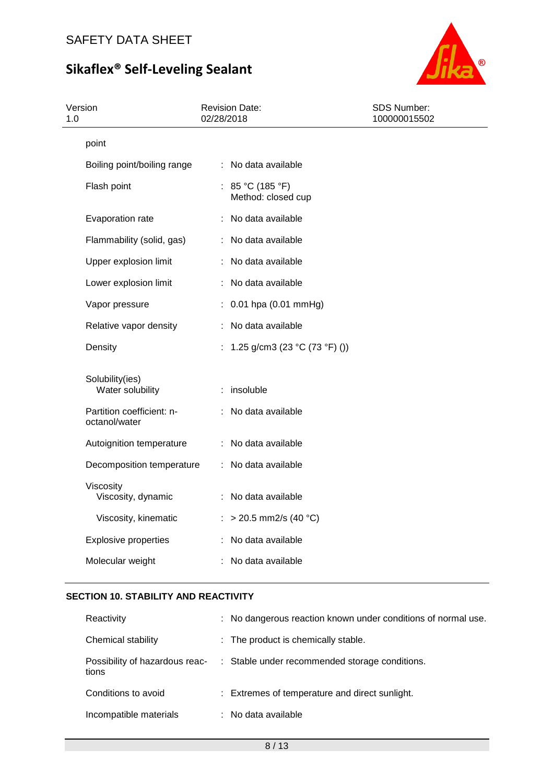

| Version<br>1.0 |                                            | 02/28/2018 | <b>Revision Date:</b>                    | SDS Number:<br>100000015502 |
|----------------|--------------------------------------------|------------|------------------------------------------|-----------------------------|
|                | point                                      |            |                                          |                             |
|                | Boiling point/boiling range                |            | : No data available                      |                             |
|                | Flash point                                |            | : $85 °C (185 °F)$<br>Method: closed cup |                             |
|                | Evaporation rate                           |            | : No data available                      |                             |
|                | Flammability (solid, gas)                  |            | : No data available                      |                             |
|                | Upper explosion limit                      |            | : No data available                      |                             |
|                | Lower explosion limit                      |            | No data available                        |                             |
|                | Vapor pressure                             |            | : 0.01 hpa (0.01 mmHg)                   |                             |
|                | Relative vapor density                     |            | : No data available                      |                             |
|                | Density                                    |            | : 1.25 g/cm3 (23 °C (73 °F) ())          |                             |
|                | Solubility(ies)<br>Water solubility        |            | : insoluble                              |                             |
|                | Partition coefficient: n-<br>octanol/water |            | : No data available                      |                             |
|                | Autoignition temperature                   |            | : No data available                      |                             |
|                | Decomposition temperature                  |            | : No data available                      |                             |
|                | Viscosity<br>Viscosity, dynamic            |            | : No data available                      |                             |
|                | Viscosity, kinematic                       |            | : > 20.5 mm2/s (40 °C)                   |                             |
|                | <b>Explosive properties</b>                |            | : No data available                      |                             |
|                | Molecular weight                           |            | No data available                        |                             |

## **SECTION 10. STABILITY AND REACTIVITY**

| Reactivity                              | : No dangerous reaction known under conditions of normal use. |
|-----------------------------------------|---------------------------------------------------------------|
| Chemical stability                      | : The product is chemically stable.                           |
| Possibility of hazardous reac-<br>tions | : Stable under recommended storage conditions.                |
| Conditions to avoid                     | : Extremes of temperature and direct sunlight.                |
| Incompatible materials                  | : No data available                                           |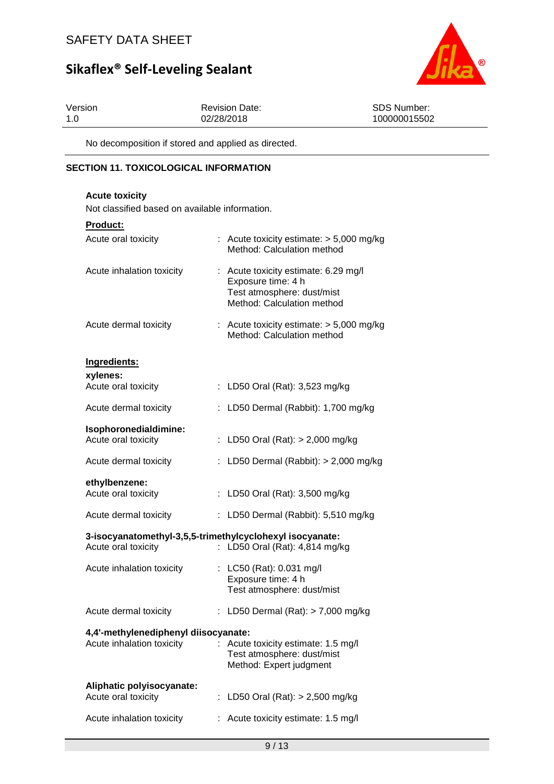

| Version | <b>Revision Date:</b> | SDS Number:  |
|---------|-----------------------|--------------|
| 1.0     | 02/28/2018            | 100000015502 |

No decomposition if stored and applied as directed.

## **SECTION 11. TOXICOLOGICAL INFORMATION**

| <b>Acute toxicity</b>                                                           |  |                                                                                                                        |  |  |
|---------------------------------------------------------------------------------|--|------------------------------------------------------------------------------------------------------------------------|--|--|
| Not classified based on available information.                                  |  |                                                                                                                        |  |  |
| <b>Product:</b>                                                                 |  |                                                                                                                        |  |  |
| Acute oral toxicity                                                             |  | : Acute toxicity estimate: $> 5,000$ mg/kg<br>Method: Calculation method                                               |  |  |
| Acute inhalation toxicity                                                       |  | : Acute toxicity estimate: 6.29 mg/l<br>Exposure time: 4 h<br>Test atmosphere: dust/mist<br>Method: Calculation method |  |  |
| Acute dermal toxicity                                                           |  | : Acute toxicity estimate: $> 5,000$ mg/kg<br>Method: Calculation method                                               |  |  |
| Ingredients:                                                                    |  |                                                                                                                        |  |  |
| xylenes:                                                                        |  |                                                                                                                        |  |  |
| Acute oral toxicity                                                             |  | : LD50 Oral (Rat): 3,523 mg/kg                                                                                         |  |  |
| Acute dermal toxicity                                                           |  | LD50 Dermal (Rabbit): 1,700 mg/kg                                                                                      |  |  |
| Isophoronedialdimine:                                                           |  |                                                                                                                        |  |  |
| Acute oral toxicity                                                             |  | : LD50 Oral (Rat): $> 2,000$ mg/kg                                                                                     |  |  |
| Acute dermal toxicity                                                           |  | LD50 Dermal (Rabbit): $> 2,000$ mg/kg                                                                                  |  |  |
| ethylbenzene:<br>Acute oral toxicity                                            |  | : LD50 Oral (Rat): 3,500 mg/kg                                                                                         |  |  |
| Acute dermal toxicity                                                           |  | : LD50 Dermal (Rabbit): 5,510 mg/kg                                                                                    |  |  |
| 3-isocyanatomethyl-3,5,5-trimethylcyclohexyl isocyanate:<br>Acute oral toxicity |  | : LD50 Oral (Rat): 4,814 mg/kg                                                                                         |  |  |
| Acute inhalation toxicity                                                       |  | : LC50 (Rat): 0.031 mg/l<br>Exposure time: 4 h<br>Test atmosphere: dust/mist                                           |  |  |
| Acute dermal toxicity                                                           |  | LD50 Dermal $(Rat):$ > 7,000 mg/kg                                                                                     |  |  |
| 4,4'-methylenediphenyl diisocyanate:                                            |  |                                                                                                                        |  |  |
| Acute inhalation toxicity                                                       |  | Acute toxicity estimate: 1.5 mg/l<br>Test atmosphere: dust/mist<br>Method: Expert judgment                             |  |  |
| Aliphatic polyisocyanate:<br>Acute oral toxicity                                |  | : LD50 Oral (Rat): $> 2,500$ mg/kg                                                                                     |  |  |
| Acute inhalation toxicity                                                       |  | Acute toxicity estimate: 1.5 mg/l                                                                                      |  |  |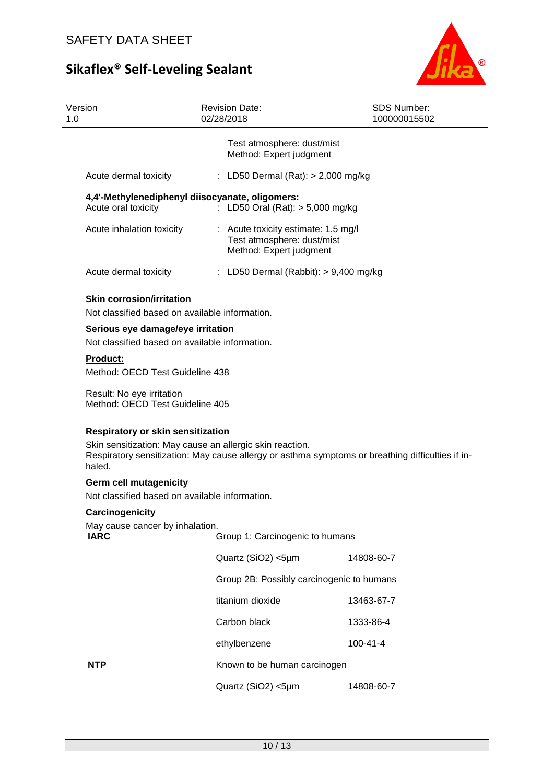

| Version<br>1.0                                                                      | <b>Revision Date:</b><br>02/28/2018                                                          | <b>SDS Number:</b><br>100000015502                                                               |
|-------------------------------------------------------------------------------------|----------------------------------------------------------------------------------------------|--------------------------------------------------------------------------------------------------|
|                                                                                     | Test atmosphere: dust/mist<br>Method: Expert judgment                                        |                                                                                                  |
| Acute dermal toxicity                                                               | : LD50 Dermal (Rat): $>$ 2,000 mg/kg                                                         |                                                                                                  |
| Acute oral toxicity                                                                 | 4,4'-Methylenediphenyl diisocyanate, oligomers:<br>: LD50 Oral (Rat): $> 5,000$ mg/kg        |                                                                                                  |
| Acute inhalation toxicity                                                           | : Acute toxicity estimate: 1.5 mg/l<br>Test atmosphere: dust/mist<br>Method: Expert judgment |                                                                                                  |
| Acute dermal toxicity                                                               | : LD50 Dermal (Rabbit): $> 9,400$ mg/kg                                                      |                                                                                                  |
| <b>Skin corrosion/irritation</b><br>Not classified based on available information.  |                                                                                              |                                                                                                  |
| Serious eye damage/eye irritation<br>Not classified based on available information. |                                                                                              |                                                                                                  |
| <b>Product:</b>                                                                     |                                                                                              |                                                                                                  |
| Method: OECD Test Guideline 438                                                     |                                                                                              |                                                                                                  |
| Result: No eye irritation<br>Method: OECD Test Guideline 405                        |                                                                                              |                                                                                                  |
| Respiratory or skin sensitization<br>haled.                                         | Skin sensitization: May cause an allergic skin reaction.                                     | Respiratory sensitization: May cause allergy or asthma symptoms or breathing difficulties if in- |
| <b>Germ cell mutagenicity</b><br>Not classified based on available information.     |                                                                                              |                                                                                                  |
| Carcinogenicity                                                                     |                                                                                              |                                                                                                  |
| May cause cancer by inhalation.<br><b>IARC</b>                                      | Group 1: Carcinogenic to humans                                                              |                                                                                                  |
|                                                                                     | Quartz (SiO2) <5µm                                                                           | 14808-60-7                                                                                       |
|                                                                                     | Group 2B: Possibly carcinogenic to humans                                                    |                                                                                                  |
|                                                                                     | titanium dioxide                                                                             | 13463-67-7                                                                                       |
|                                                                                     | Carbon black                                                                                 | 1333-86-4                                                                                        |
|                                                                                     | ethylbenzene                                                                                 | $100 - 41 - 4$                                                                                   |
| <b>NTP</b>                                                                          | Known to be human carcinogen                                                                 |                                                                                                  |
|                                                                                     | Quartz (SiO2) <5µm                                                                           | 14808-60-7                                                                                       |
|                                                                                     |                                                                                              |                                                                                                  |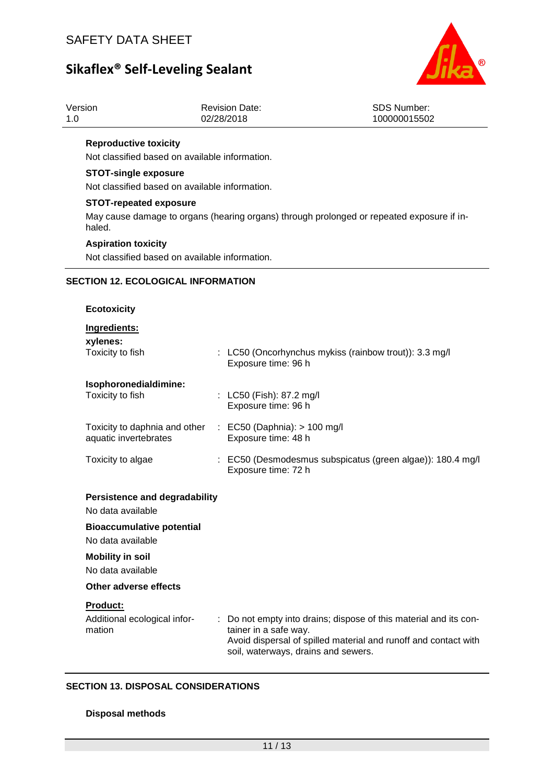

| Version | <b>Revision Date:</b> | <b>SDS Number:</b> |
|---------|-----------------------|--------------------|
| 1.0     | 02/28/2018            | 100000015502       |

#### **Reproductive toxicity**

Not classified based on available information.

### **STOT-single exposure**

Not classified based on available information.

### **STOT-repeated exposure**

May cause damage to organs (hearing organs) through prolonged or repeated exposure if inhaled.

### **Aspiration toxicity**

Not classified based on available information.

#### **SECTION 12. ECOLOGICAL INFORMATION**

#### **Ecotoxicity**

### **Ingredients:**

| xylenes:<br>Toxicity to fish                                                        |    | : LC50 (Oncorhynchus mykiss (rainbow trout)): 3.3 mg/l<br>Exposure time: 96 h                                                                                                                      |
|-------------------------------------------------------------------------------------|----|----------------------------------------------------------------------------------------------------------------------------------------------------------------------------------------------------|
| Isophoronedialdimine:<br>Toxicity to fish                                           |    | : LC50 (Fish): 87.2 mg/l<br>Exposure time: 96 h                                                                                                                                                    |
| Toxicity to daphnia and other : EC50 (Daphnia): > 100 mg/l<br>aquatic invertebrates |    | Exposure time: 48 h                                                                                                                                                                                |
| Toxicity to algae                                                                   |    | : EC50 (Desmodesmus subspicatus (green algae)): 180.4 mg/l<br>Exposure time: 72 h                                                                                                                  |
| <b>Persistence and degradability</b><br>No data available                           |    |                                                                                                                                                                                                    |
| <b>Bioaccumulative potential</b><br>No data available                               |    |                                                                                                                                                                                                    |
| <b>Mobility in soil</b><br>No data available                                        |    |                                                                                                                                                                                                    |
| Other adverse effects                                                               |    |                                                                                                                                                                                                    |
| <b>Product:</b><br>Additional ecological infor-<br>mation                           | ÷. | Do not empty into drains; dispose of this material and its con-<br>tainer in a safe way.<br>Avoid dispersal of spilled material and runoff and contact with<br>soil, waterways, drains and sewers. |

### **SECTION 13. DISPOSAL CONSIDERATIONS**

#### **Disposal methods**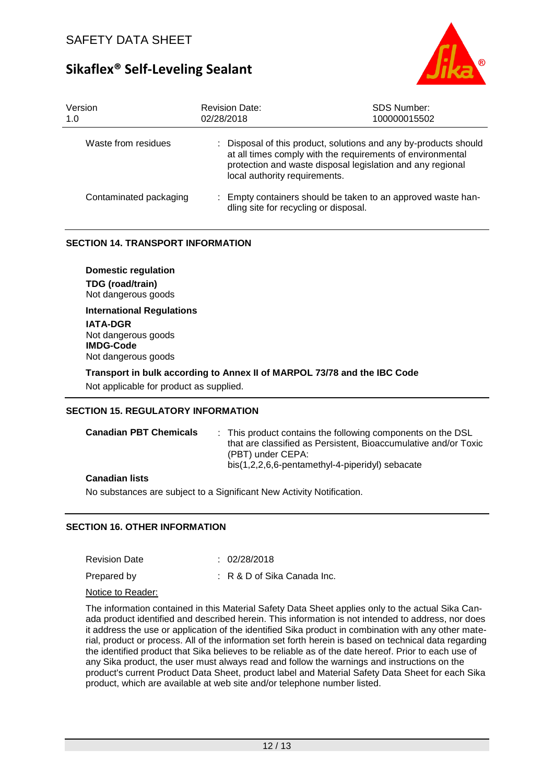

| Version<br>1.0         | <b>Revision Date:</b><br>02/28/2018   | <b>SDS Number:</b><br>100000015502                                                                                                                                                           |
|------------------------|---------------------------------------|----------------------------------------------------------------------------------------------------------------------------------------------------------------------------------------------|
| Waste from residues    | local authority requirements.         | : Disposal of this product, solutions and any by-products should<br>at all times comply with the requirements of environmental<br>protection and waste disposal legislation and any regional |
| Contaminated packaging | dling site for recycling or disposal. | : Empty containers should be taken to an approved waste han-                                                                                                                                 |

#### **SECTION 14. TRANSPORT INFORMATION**

**Domestic regulation TDG (road/train)** Not dangerous goods

**International Regulations IATA-DGR** Not dangerous goods **IMDG-Code** Not dangerous goods

#### **Transport in bulk according to Annex II of MARPOL 73/78 and the IBC Code**

Not applicable for product as supplied.

#### **SECTION 15. REGULATORY INFORMATION**

| <b>Canadian PBT Chemicals</b> | : This product contains the following components on the DSL<br>that are classified as Persistent. Bioaccumulative and/or Toxic<br>(PBT) under CEPA:<br>bis(1,2,2,6,6-pentamethyl-4-piperidyl) sebacate |
|-------------------------------|--------------------------------------------------------------------------------------------------------------------------------------------------------------------------------------------------------|
| Canadian liata                |                                                                                                                                                                                                        |

#### **Canadian lists**

No substances are subject to a Significant New Activity Notification.

### **SECTION 16. OTHER INFORMATION**

Revision Date : 02/28/2018

Prepared by : R & D of Sika Canada Inc.

Notice to Reader:

The information contained in this Material Safety Data Sheet applies only to the actual Sika Canada product identified and described herein. This information is not intended to address, nor does it address the use or application of the identified Sika product in combination with any other material, product or process. All of the information set forth herein is based on technical data regarding the identified product that Sika believes to be reliable as of the date hereof. Prior to each use of any Sika product, the user must always read and follow the warnings and instructions on the product's current Product Data Sheet, product label and Material Safety Data Sheet for each Sika product, which are available at web site and/or telephone number listed.